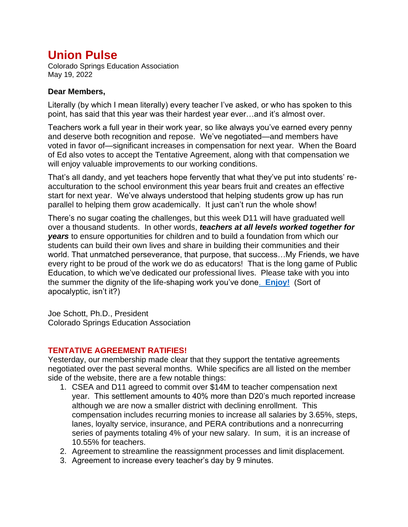## **Union Pulse**

Colorado Springs Education Association May 19, 2022

## **Dear Members,**

Literally (by which I mean literally) every teacher I've asked, or who has spoken to this point, has said that this year was their hardest year ever…and it's almost over.

Teachers work a full year in their work year, so like always you've earned every penny and deserve both recognition and repose. We've negotiated—and members have voted in favor of—significant increases in compensation for next year. When the Board of Ed also votes to accept the Tentative Agreement, along with that compensation we will enjoy valuable improvements to our working conditions.

That's all dandy, and yet teachers hope fervently that what they've put into students' reacculturation to the school environment this year bears fruit and creates an effective start for next year. We've always understood that helping students grow up has run parallel to helping them grow academically. It just can't run the whole show!

There's no sugar coating the challenges, but this week D11 will have graduated well over a thousand students. In other words, *teachers at all levels worked together for years* to ensure opportunities for children and to build a foundation from which our students can build their own lives and share in building their communities and their world. That unmatched perseverance, that purpose, that success…My Friends, we have every right to be proud of the work we do as educators! That is the long game of Public Education, to which we've dedicated our professional lives. Please take with you into the summer the dignity of the life-shaping work you've done. **[Enjoy!](https://www.youtube.com/watch?v=mBqiC5ox8Bw)** (Sort of apocalyptic, isn't it?)

Joe Schott, Ph.D., President Colorado Springs Education Association

## **TENTATIVE AGREEMENT RATIFIES!**

Yesterday, our membership made clear that they support the tentative agreements negotiated over the past several months. While specifics are all listed on the member side of the website, there are a few notable things:

- 1. CSEA and D11 agreed to commit over \$14M to teacher compensation next year. This settlement amounts to 40% more than D20's much reported increase although we are now a smaller district with declining enrollment. This compensation includes recurring monies to increase all salaries by 3.65%, steps, lanes, loyalty service, insurance, and PERA contributions and a nonrecurring series of payments totaling 4% of your new salary. In sum, it is an increase of 10.55% for teachers.
- 2. Agreement to streamline the reassignment processes and limit displacement.
- 3. Agreement to increase every teacher's day by 9 minutes.